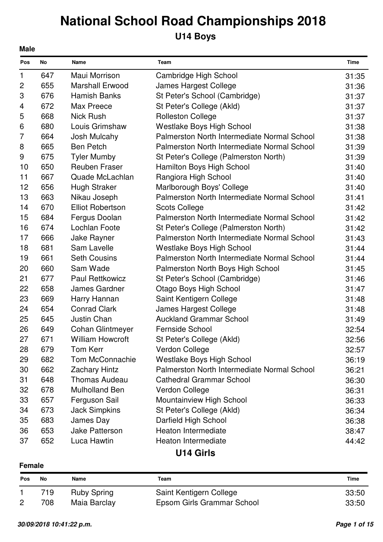## **U14 Boys**

| <b>Pos</b>   | No  | Name                    | Team                                        | Time  |
|--------------|-----|-------------------------|---------------------------------------------|-------|
| 1            | 647 | Maui Morrison           | Cambridge High School                       | 31:35 |
| $\mathbf{2}$ | 655 | <b>Marshall Erwood</b>  | James Hargest College                       | 31:36 |
| 3            | 676 | <b>Hamish Banks</b>     | St Peter's School (Cambridge)               | 31:37 |
| 4            | 672 | Max Preece              | St Peter's College (Akld)                   | 31:37 |
| 5            | 668 | <b>Nick Rush</b>        | <b>Rolleston College</b>                    | 31:37 |
| 6            | 680 | Louis Grimshaw          | <b>Westlake Boys High School</b>            | 31:38 |
| 7            | 664 | Josh Mulcahy            | Palmerston North Intermediate Normal School | 31:38 |
| 8            | 665 | <b>Ben Petch</b>        | Palmerston North Intermediate Normal School | 31:39 |
| 9            | 675 | <b>Tyler Mumby</b>      | St Peter's College (Palmerston North)       | 31:39 |
| 10           | 650 | <b>Reuben Fraser</b>    | Hamilton Boys High School                   | 31:40 |
| 11           | 667 | Quade McLachlan         | Rangiora High School                        | 31:40 |
| 12           | 656 | <b>Hugh Straker</b>     | Marlborough Boys' College                   | 31:40 |
| 13           | 663 | Nikau Joseph            | Palmerston North Intermediate Normal School | 31:41 |
| 14           | 670 | <b>Elliot Robertson</b> | <b>Scots College</b>                        | 31:42 |
| 15           | 684 | Fergus Doolan           | Palmerston North Intermediate Normal School | 31:42 |
| 16           | 674 | Lochlan Foote           | St Peter's College (Palmerston North)       | 31:42 |
| 17           | 666 | Jake Rayner             | Palmerston North Intermediate Normal School | 31:43 |
| 18           | 681 | Sam Lavelle             | <b>Westlake Boys High School</b>            | 31:44 |
| 19           | 661 | <b>Seth Cousins</b>     | Palmerston North Intermediate Normal School | 31:44 |
| 20           | 660 | Sam Wade                | Palmerston North Boys High School           | 31:45 |
| 21           | 677 | <b>Paul Rettkowicz</b>  | St Peter's School (Cambridge)               | 31:46 |
| 22           | 658 | James Gardner           | <b>Otago Boys High School</b>               | 31:47 |
| 23           | 669 | Harry Hannan            | Saint Kentigern College                     | 31:48 |
| 24           | 654 | <b>Conrad Clark</b>     | James Hargest College                       | 31:48 |
| 25           | 645 | Justin Chan             | <b>Auckland Grammar School</b>              | 31:49 |
| 26           | 649 | <b>Cohan Glintmeyer</b> | <b>Fernside School</b>                      | 32:54 |
| 27           | 671 | <b>William Howcroft</b> | St Peter's College (Akld)                   | 32:56 |
| 28           | 679 | <b>Tom Kerr</b>         | Verdon College                              | 32:57 |
| 29           | 682 | Tom McConnachie         | Westlake Boys High School                   | 36:19 |
| 30           | 662 | <b>Zachary Hintz</b>    | Palmerston North Intermediate Normal School | 36:21 |
| 31           | 648 | <b>Thomas Audeau</b>    | <b>Cathedral Grammar School</b>             | 36:30 |
| 32           | 678 | <b>Mulholland Ben</b>   | Verdon College                              | 36:31 |
| 33           | 657 | Ferguson Sail           | Mountainview High School                    | 36:33 |
| 34           | 673 | <b>Jack Simpkins</b>    | St Peter's College (Akld)                   | 36:34 |
| 35           | 683 | James Day               | Darfield High School                        | 36:38 |
| 36           | 653 | Jake Patterson          | Heaton Intermediate                         | 38:47 |
| 37           | 652 | Luca Hawtin             | Heaton Intermediate                         | 44:42 |
|              |     |                         |                                             |       |

### **U14 Girls**

### **Female**

| <b>Pos</b>     | No  | Name               | Team                       | Time  |
|----------------|-----|--------------------|----------------------------|-------|
|                | 719 | <b>Ruby Spring</b> | Saint Kentigern College    | 33:50 |
| $\overline{2}$ | 708 | Maia Barclay       | Epsom Girls Grammar School | 33:50 |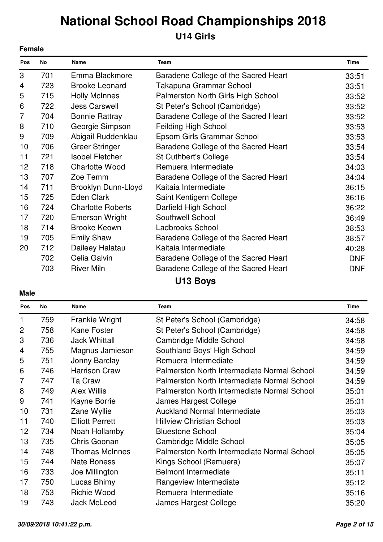### **U14 Girls**

|                | <b>Female</b> |                          |                                      |             |  |
|----------------|---------------|--------------------------|--------------------------------------|-------------|--|
| Pos            | No            | <b>Name</b>              | <b>Team</b>                          | <b>Time</b> |  |
| 3              | 701           | Emma Blackmore           | Baradene College of the Sacred Heart | 33:51       |  |
| 4              | 723           | <b>Brooke Leonard</b>    | Takapuna Grammar School              | 33:51       |  |
| 5              | 715           | <b>Holly McInnes</b>     | Palmerston North Girls High School   | 33:52       |  |
| 6              | 722           | <b>Jess Carswell</b>     | St Peter's School (Cambridge)        | 33:52       |  |
| $\overline{7}$ | 704           | <b>Bonnie Rattray</b>    | Baradene College of the Sacred Heart | 33:52       |  |
| 8              | 710           | Georgie Simpson          | <b>Feilding High School</b>          | 33:53       |  |
| 9              | 709           | Abigail Ruddenklau       | Epsom Girls Grammar School           | 33:53       |  |
| 10             | 706           | <b>Greer Stringer</b>    | Baradene College of the Sacred Heart | 33:54       |  |
| 11             | 721           | <b>Isobel Fletcher</b>   | <b>St Cuthbert's College</b>         | 33:54       |  |
| 12             | 718           | <b>Charlotte Wood</b>    | Remuera Intermediate                 | 34:03       |  |
| 13             | 707           | Zoe Temm                 | Baradene College of the Sacred Heart | 34:04       |  |
| 14             | 711           | Brooklyn Dunn-Lloyd      | Kaitaia Intermediate                 | 36:15       |  |
| 15             | 725           | Eden Clark               | Saint Kentigern College              | 36:16       |  |
| 16             | 724           | <b>Charlotte Roberts</b> | Darfield High School                 | 36:22       |  |
| 17             | 720           | <b>Emerson Wright</b>    | Southwell School                     | 36:49       |  |
| 18             | 714           | <b>Brooke Keown</b>      | Ladbrooks School                     | 38:53       |  |
| 19             | 705           | <b>Emily Shaw</b>        | Baradene College of the Sacred Heart | 38:57       |  |
| 20             | 712           | Daileey Halatau          | Kaitaia Intermediate                 | 40:28       |  |
|                | 702           | Celia Galvin             | Baradene College of the Sacred Heart | <b>DNF</b>  |  |
|                | 703           | <b>River Miln</b>        | Baradene College of the Sacred Heart | <b>DNF</b>  |  |
|                |               |                          | U13 Boys                             |             |  |

| Pos            | No  | Name                   | <b>Team</b>                                 | <b>Time</b> |
|----------------|-----|------------------------|---------------------------------------------|-------------|
| 1              | 759 | Frankie Wright         | St Peter's School (Cambridge)               | 34:58       |
| $\overline{2}$ | 758 | <b>Kane Foster</b>     | St Peter's School (Cambridge)               | 34:58       |
| 3              | 736 | <b>Jack Whittall</b>   | Cambridge Middle School                     | 34:58       |
| 4              | 755 | Magnus Jamieson        | Southland Boys' High School                 | 34:59       |
| 5              | 751 | Jonny Barclay          | Remuera Intermediate                        | 34:59       |
| 6              | 746 | <b>Harrison Craw</b>   | Palmerston North Intermediate Normal School | 34:59       |
| $\overline{7}$ | 747 | Ta Craw                | Palmerston North Intermediate Normal School | 34:59       |
| 8              | 749 | <b>Alex Willis</b>     | Palmerston North Intermediate Normal School | 35:01       |
| 9              | 741 | Kayne Borrie           | James Hargest College                       | 35:01       |
| 10             | 731 | Zane Wyllie            | <b>Auckland Normal Intermediate</b>         | 35:03       |
| 11             | 740 | <b>Elliott Perrett</b> | <b>Hillview Christian School</b>            | 35:03       |
| 12             | 734 | Noah Hollamby          | <b>Bluestone School</b>                     | 35:04       |
| 13             | 735 | Chris Goonan           | Cambridge Middle School                     | 35:05       |
| 14             | 748 | <b>Thomas McInnes</b>  | Palmerston North Intermediate Normal School | 35:05       |
| 15             | 744 | <b>Nate Boness</b>     | Kings School (Remuera)                      | 35:07       |
| 16             | 733 | Joe Millington         | <b>Belmont Intermediate</b>                 | 35:11       |
| 17             | 750 | Lucas Bhimy            | Rangeview Intermediate                      | 35:12       |
| 18             | 753 | <b>Richie Wood</b>     | Remuera Intermediate                        | 35:16       |
| 19             | 743 | <b>Jack McLeod</b>     | James Hargest College                       | 35:20       |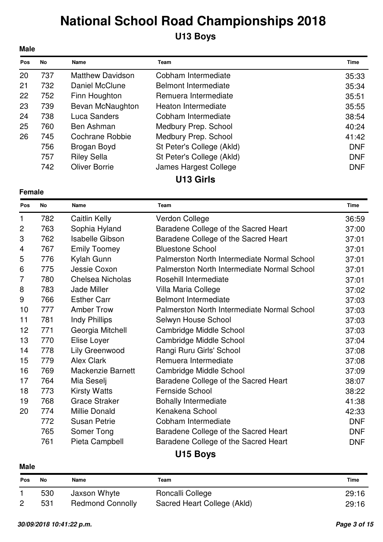## **U13 Boys**

| <b>Male</b> |     |                         |                             |             |
|-------------|-----|-------------------------|-----------------------------|-------------|
| Pos         | No  | Name                    | Team                        | <b>Time</b> |
| 20          | 737 | <b>Matthew Davidson</b> | Cobham Intermediate         | 35:33       |
| 21          | 732 | Daniel McClune          | <b>Belmont Intermediate</b> | 35:34       |
| 22          | 752 | Finn Houghton           | Remuera Intermediate        | 35:51       |
| 23          | 739 | Bevan McNaughton        | Heaton Intermediate         | 35:55       |
| 24          | 738 | Luca Sanders            | Cobham Intermediate         | 38:54       |
| 25          | 760 | Ben Ashman              | Medbury Prep. School        | 40:24       |
| 26          | 745 | Cochrane Robbie         | Medbury Prep. School        | 41:42       |
|             | 756 | Brogan Boyd             | St Peter's College (Akld)   | <b>DNF</b>  |
|             | 757 | <b>Riley Sella</b>      | St Peter's College (Akld)   | <b>DNF</b>  |
|             | 742 | <b>Oliver Borrie</b>    | James Hargest College       | <b>DNF</b>  |
|             |     |                         | U13 Girls                   |             |

**Female**

| Pos                       | No  | Name                     | <b>Team</b>                                 | <b>Time</b> |
|---------------------------|-----|--------------------------|---------------------------------------------|-------------|
| 1                         | 782 | Caitlin Kelly            | Verdon College                              | 36:59       |
| $\overline{c}$            | 763 | Sophia Hyland            | Baradene College of the Sacred Heart        | 37:00       |
| $\ensuremath{\mathsf{3}}$ | 762 | <b>Isabelle Gibson</b>   | Baradene College of the Sacred Heart        | 37:01       |
| 4                         | 767 | <b>Emily Toomey</b>      | <b>Bluestone School</b>                     | 37:01       |
| 5                         | 776 | Kylah Gunn               | Palmerston North Intermediate Normal School | 37:01       |
| 6                         | 775 | Jessie Coxon             | Palmerston North Intermediate Normal School | 37:01       |
| $\overline{7}$            | 780 | <b>Chelsea Nicholas</b>  | Rosehill Intermediate                       | 37:01       |
| 8                         | 783 | Jade Miller              | Villa Maria College                         | 37:02       |
| 9                         | 766 | <b>Esther Carr</b>       | <b>Belmont Intermediate</b>                 | 37:03       |
| 10                        | 777 | <b>Amber Trow</b>        | Palmerston North Intermediate Normal School | 37:03       |
| 11                        | 781 | <b>Indy Phillips</b>     | Selwyn House School                         | 37:03       |
| 12                        | 771 | Georgia Mitchell         | Cambridge Middle School                     | 37:03       |
| 13                        | 770 | Elise Loyer              | Cambridge Middle School                     | 37:04       |
| 14                        | 778 | Lily Greenwood           | Rangi Ruru Girls' School                    | 37:08       |
| 15                        | 779 | <b>Alex Clark</b>        | Remuera Intermediate                        | 37:08       |
| 16                        | 769 | <b>Mackenzie Barnett</b> | Cambridge Middle School                     | 37:09       |
| 17                        | 764 | Mia Seselj               | Baradene College of the Sacred Heart        | 38:07       |
| 18                        | 773 | <b>Kirsty Watts</b>      | <b>Fernside School</b>                      | 38:22       |
| 19                        | 768 | <b>Grace Straker</b>     | <b>Bohally Intermediate</b>                 | 41:38       |
| 20                        | 774 | <b>Millie Donald</b>     | Kenakena School                             | 42:33       |
|                           | 772 | <b>Susan Petrie</b>      | Cobham Intermediate                         | <b>DNF</b>  |
|                           | 765 | Somer Tong               | Baradene College of the Sacred Heart        | <b>DNF</b>  |
|                           | 761 | Pieta Campbell           | Baradene College of the Sacred Heart        | <b>DNF</b>  |

### **U15 Boys**

| <b>Pos</b>     | Νo  | Name                    | Team                        | Time  |
|----------------|-----|-------------------------|-----------------------------|-------|
|                | 530 | Jaxson Whyte            | Roncalli College            | 29:16 |
| $\overline{2}$ | 531 | <b>Redmond Connolly</b> | Sacred Heart College (Akld) | 29:16 |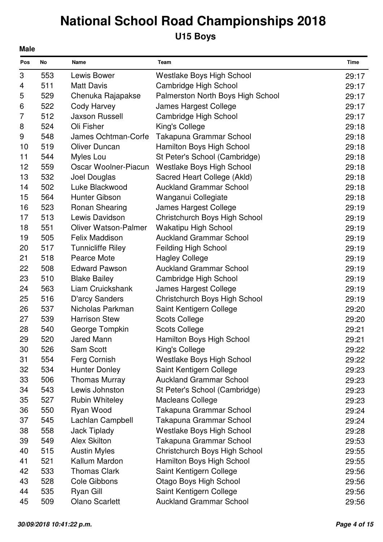## **U15 Boys**

| <b>Male</b> |     |                             |                                   |       |  |  |
|-------------|-----|-----------------------------|-----------------------------------|-------|--|--|
| Pos         | No  | Name                        | Team                              | Time  |  |  |
| 3           | 553 | Lewis Bower                 | <b>Westlake Boys High School</b>  | 29:17 |  |  |
| 4           | 511 | <b>Matt Davis</b>           | Cambridge High School             | 29:17 |  |  |
| 5           | 529 | Chenuka Rajapakse           | Palmerston North Boys High School | 29:17 |  |  |
| 6           | 522 | Cody Harvey                 | James Hargest College             | 29:17 |  |  |
| 7           | 512 | <b>Jaxson Russell</b>       | Cambridge High School             | 29:17 |  |  |
| 8           | 524 | Oli Fisher                  | King's College                    | 29:18 |  |  |
| 9           | 548 | James Ochtman-Corfe         | Takapuna Grammar School           | 29:18 |  |  |
| 10          | 519 | <b>Oliver Duncan</b>        | Hamilton Boys High School         | 29:18 |  |  |
| 11          | 544 | Myles Lou                   | St Peter's School (Cambridge)     | 29:18 |  |  |
| 12          | 559 | Oscar Woolner-Piacun        | <b>Westlake Boys High School</b>  | 29:18 |  |  |
| 13          | 532 | Joel Douglas                | Sacred Heart College (Akld)       | 29:18 |  |  |
| 14          | 502 | Luke Blackwood              | <b>Auckland Grammar School</b>    | 29:18 |  |  |
| 15          | 564 | Hunter Gibson               | Wanganui Collegiate               | 29:18 |  |  |
| 16          | 523 | <b>Ronan Shearing</b>       | James Hargest College             | 29:19 |  |  |
| 17          | 513 | Lewis Davidson              | Christchurch Boys High School     | 29:19 |  |  |
| 18          | 551 | <b>Oliver Watson-Palmer</b> | Wakatipu High School              | 29:19 |  |  |
| 19          | 505 | <b>Felix Maddison</b>       | <b>Auckland Grammar School</b>    | 29:19 |  |  |
| 20          | 517 | <b>Tunnicliffe Riley</b>    | <b>Feilding High School</b>       | 29:19 |  |  |
| 21          | 518 | Pearce Mote                 | <b>Hagley College</b>             | 29:19 |  |  |
| 22          | 508 | <b>Edward Pawson</b>        | <b>Auckland Grammar School</b>    | 29:19 |  |  |
| 23          | 510 | <b>Blake Bailey</b>         | Cambridge High School             | 29:19 |  |  |
| 24          | 563 | Liam Cruickshank            | James Hargest College             | 29:19 |  |  |
| 25          | 516 | <b>D'arcy Sanders</b>       | Christchurch Boys High School     | 29:19 |  |  |
| 26          | 537 | Nicholas Parkman            | Saint Kentigern College           | 29:20 |  |  |
| 27          | 539 | <b>Harrison Stew</b>        | <b>Scots College</b>              | 29:20 |  |  |
| 28          | 540 | George Tompkin              | <b>Scots College</b>              | 29:21 |  |  |
| 29          | 520 | Jared Mann                  | Hamilton Boys High School         | 29:21 |  |  |
| 30          | 526 | Sam Scott                   | King's College                    | 29:22 |  |  |
| 31          | 554 | Ferg Cornish                | Westlake Boys High School         | 29:22 |  |  |
| 32          | 534 | <b>Hunter Donley</b>        | Saint Kentigern College           | 29:23 |  |  |
| 33          | 506 | <b>Thomas Murray</b>        | <b>Auckland Grammar School</b>    | 29:23 |  |  |
| 34          | 543 | Lewis Johnston              | St Peter's School (Cambridge)     | 29:23 |  |  |
| 35          | 527 | <b>Rubin Whiteley</b>       | <b>Macleans College</b>           | 29:23 |  |  |
| 36          | 550 | Ryan Wood                   | Takapuna Grammar School           | 29:24 |  |  |
| 37          | 545 | Lachlan Campbell            | Takapuna Grammar School           | 29:24 |  |  |
| 38          | 558 | Jack Tiplady                | <b>Westlake Boys High School</b>  | 29:28 |  |  |
| 39          | 549 | <b>Alex Skilton</b>         | Takapuna Grammar School           | 29:53 |  |  |
| 40          | 515 | <b>Austin Myles</b>         | Christchurch Boys High School     | 29:55 |  |  |
| 41          | 521 | Kallum Mardon               | Hamilton Boys High School         | 29:55 |  |  |
| 42          | 533 | <b>Thomas Clark</b>         | Saint Kentigern College           | 29:56 |  |  |
| 43          | 528 | Cole Gibbons                | <b>Otago Boys High School</b>     | 29:56 |  |  |
| 44          | 535 | Ryan Gill                   | Saint Kentigern College           | 29:56 |  |  |
| 45          | 509 | <b>Olano Scarlett</b>       | <b>Auckland Grammar School</b>    | 29:56 |  |  |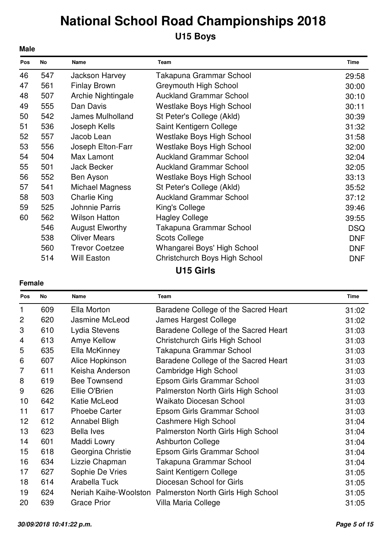## **U15 Boys**

| <b>Male</b> |     |                        |                                  |             |
|-------------|-----|------------------------|----------------------------------|-------------|
| Pos         | No  | Name                   | <b>Team</b>                      | <b>Time</b> |
| 46          | 547 | Jackson Harvey         | Takapuna Grammar School          | 29:58       |
| 47          | 561 | <b>Finlay Brown</b>    | <b>Greymouth High School</b>     | 30:00       |
| 48          | 507 | Archie Nightingale     | <b>Auckland Grammar School</b>   | 30:10       |
| 49          | 555 | Dan Davis              | <b>Westlake Boys High School</b> | 30:11       |
| 50          | 542 | James Mulholland       | St Peter's College (Akld)        | 30:39       |
| 51          | 536 | Joseph Kells           | Saint Kentigern College          | 31:32       |
| 52          | 557 | Jacob Lean             | Westlake Boys High School        | 31:58       |
| 53          | 556 | Joseph Elton-Farr      | <b>Westlake Boys High School</b> | 32:00       |
| 54          | 504 | Max Lamont             | <b>Auckland Grammar School</b>   | 32:04       |
| 55          | 501 | <b>Jack Becker</b>     | <b>Auckland Grammar School</b>   | 32:05       |
| 56          | 552 | Ben Ayson              | Westlake Boys High School        | 33:13       |
| 57          | 541 | Michael Magness        | St Peter's College (Akld)        | 35:52       |
| 58          | 503 | <b>Charlie King</b>    | <b>Auckland Grammar School</b>   | 37:12       |
| 59          | 525 | Johnnie Parris         | King's College                   | 39:46       |
| 60          | 562 | <b>Wilson Hatton</b>   | <b>Hagley College</b>            | 39:55       |
|             | 546 | <b>August Elworthy</b> | Takapuna Grammar School          | <b>DSQ</b>  |
|             | 538 | <b>Oliver Mears</b>    | <b>Scots College</b>             | <b>DNF</b>  |
|             | 560 | <b>Trevor Coetzee</b>  | Whangarei Boys' High School      | <b>DNF</b>  |
|             | 514 | <b>Will Easton</b>     | Christchurch Boys High School    | <b>DNF</b>  |
|             |     |                        | <b>U15 Girls</b>                 |             |

#### **Female**

| Pos            | <b>No</b> | <b>Name</b>          | <b>Team</b>                                              | <b>Time</b> |
|----------------|-----------|----------------------|----------------------------------------------------------|-------------|
| 1              | 609       | Ella Morton          | Baradene College of the Sacred Heart                     | 31:02       |
| $\overline{2}$ | 620       | Jasmine McLeod       | James Hargest College                                    | 31:02       |
| 3              | 610       | Lydia Stevens        | Baradene College of the Sacred Heart                     | 31:03       |
| 4              | 613       | Amye Kellow          | Christchurch Girls High School                           | 31:03       |
| 5              | 635       | Ella McKinney        | Takapuna Grammar School                                  | 31:03       |
| 6              | 607       | Alice Hopkinson      | Baradene College of the Sacred Heart                     | 31:03       |
| 7              | 611       | Keisha Anderson      | Cambridge High School                                    | 31:03       |
| 8              | 619       | <b>Bee Townsend</b>  | Epsom Girls Grammar School                               | 31:03       |
| 9              | 626       | Ellie O'Brien        | Palmerston North Girls High School                       | 31:03       |
| 10             | 642       | Katie McLeod         | <b>Waikato Diocesan School</b>                           | 31:03       |
| 11             | 617       | <b>Phoebe Carter</b> | Epsom Girls Grammar School                               | 31:03       |
| 12             | 612       | Annabel Bligh        | Cashmere High School                                     | 31:04       |
| 13             | 623       | <b>Bella Ives</b>    | Palmerston North Girls High School                       | 31:04       |
| 14             | 601       | Maddi Lowry          | <b>Ashburton College</b>                                 | 31:04       |
| 15             | 618       | Georgina Christie    | Epsom Girls Grammar School                               | 31:04       |
| 16             | 634       | Lizzie Chapman       | Takapuna Grammar School                                  | 31:04       |
| 17             | 627       | Sophie De Vries      | Saint Kentigern College                                  | 31:05       |
| 18             | 614       | Arabella Tuck        | Diocesan School for Girls                                | 31:05       |
| 19             | 624       |                      | Neriah Kaihe-Woolston Palmerston North Girls High School | 31:05       |
| 20             | 639       | <b>Grace Prior</b>   | Villa Maria College                                      | 31:05       |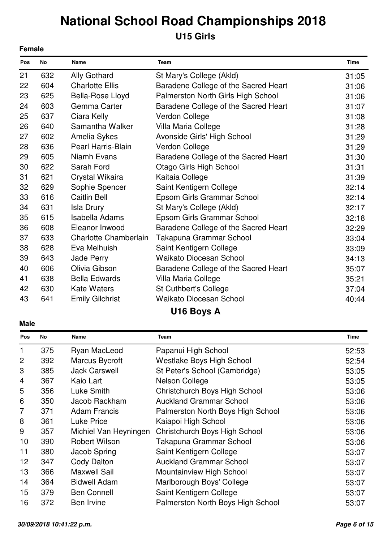### **U15 Girls**

|     | <b>Female</b> |                           |                                      |             |  |
|-----|---------------|---------------------------|--------------------------------------|-------------|--|
| Pos | <b>No</b>     | <b>Name</b>               | Team                                 | <b>Time</b> |  |
| 21  | 632           | Ally Gothard              | St Mary's College (Akld)             | 31:05       |  |
| 22  | 604           | <b>Charlotte Ellis</b>    | Baradene College of the Sacred Heart | 31:06       |  |
| 23  | 625           | Bella-Rose Lloyd          | Palmerston North Girls High School   | 31:06       |  |
| 24  | 603           | Gemma Carter              | Baradene College of the Sacred Heart | 31:07       |  |
| 25  | 637           | Ciara Kelly               | Verdon College                       | 31:08       |  |
| 26  | 640           | Samantha Walker           | Villa Maria College                  | 31:28       |  |
| 27  | 602           | Amelia Sykes              | Avonside Girls' High School          | 31:29       |  |
| 28  | 636           | <b>Pearl Harris-Blain</b> | Verdon College                       | 31:29       |  |
| 29  | 605           | Niamh Evans               | Baradene College of the Sacred Heart | 31:30       |  |
| 30  | 622           | Sarah Ford                | <b>Otago Girls High School</b>       | 31:31       |  |
| 31  | 621           | Crystal Wikaira           | Kaitaia College                      | 31:39       |  |
| 32  | 629           | Sophie Spencer            | Saint Kentigern College              | 32:14       |  |
| 33  | 616           | Caitlin Bell              | Epsom Girls Grammar School           | 32:14       |  |
| 34  | 631           | <b>Isla Drury</b>         | St Mary's College (Akld)             | 32:17       |  |
| 35  | 615           | Isabella Adams            | Epsom Girls Grammar School           | 32:18       |  |
| 36  | 608           | Eleanor Inwood            | Baradene College of the Sacred Heart | 32:29       |  |
| 37  | 633           | Charlotte Chamberlain     | Takapuna Grammar School              | 33:04       |  |
| 38  | 628           | Eva Melhuish              | Saint Kentigern College              | 33:09       |  |
| 39  | 643           | Jade Perry                | <b>Waikato Diocesan School</b>       | 34:13       |  |
| 40  | 606           | Olivia Gibson             | Baradene College of the Sacred Heart | 35:07       |  |
| 41  | 638           | <b>Bella Edwards</b>      | Villa Maria College                  | 35:21       |  |
| 42  | 630           | <b>Kate Waters</b>        | St Cuthbert's College                | 37:04       |  |
| 43  | 641           | <b>Emily Gilchrist</b>    | <b>Waikato Diocesan School</b>       | 40:44       |  |
|     |               |                           |                                      |             |  |

### **U16 Boys A**

| No  | Name                  | Team                              | <b>Time</b> |
|-----|-----------------------|-----------------------------------|-------------|
| 375 | Ryan MacLeod          | Papanui High School               | 52:53       |
| 392 | Marcus Bycroft        | <b>Westlake Boys High School</b>  | 52:54       |
| 385 | <b>Jack Carswell</b>  | St Peter's School (Cambridge)     | 53:05       |
| 367 | Kaio Lart             | <b>Nelson College</b>             | 53:05       |
| 356 | Luke Smith            | Christchurch Boys High School     | 53:06       |
| 350 | Jacob Rackham         | <b>Auckland Grammar School</b>    | 53:06       |
| 371 | <b>Adam Francis</b>   | Palmerston North Boys High School | 53:06       |
| 361 | <b>Luke Price</b>     | Kaiapoi High School               | 53:06       |
| 357 | Michiel Van Heyningen | Christchurch Boys High School     | 53:06       |
| 390 | Robert Wilson         | Takapuna Grammar School           | 53:06       |
| 380 | Jacob Spring          | Saint Kentigern College           | 53:07       |
| 347 | Cody Dalton           | <b>Auckland Grammar School</b>    | 53:07       |
| 366 | <b>Maxwell Sail</b>   | Mountainview High School          | 53:07       |
| 364 | <b>Bidwell Adam</b>   | Marlborough Boys' College         | 53:07       |
| 379 | <b>Ben Connell</b>    | Saint Kentigern College           | 53:07       |
| 372 | Ben Irvine            | Palmerston North Boys High School | 53:07       |
|     |                       |                                   |             |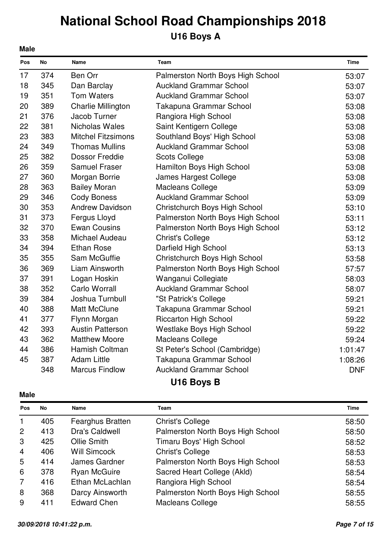## **U16 Boys A**

| Pos | No  | Name                      | Team                              | <b>Time</b> |
|-----|-----|---------------------------|-----------------------------------|-------------|
| 17  | 374 | <b>Ben Orr</b>            | Palmerston North Boys High School | 53:07       |
| 18  | 345 | Dan Barclay               | <b>Auckland Grammar School</b>    | 53:07       |
| 19  | 351 | <b>Tom Waters</b>         | <b>Auckland Grammar School</b>    | 53:07       |
| 20  | 389 | <b>Charlie Millington</b> | Takapuna Grammar School           | 53:08       |
| 21  | 376 | Jacob Turner              | Rangiora High School              | 53:08       |
| 22  | 381 | Nicholas Wales            | Saint Kentigern College           | 53:08       |
| 23  | 383 | <b>Mitchel Fitzsimons</b> | Southland Boys' High School       | 53:08       |
| 24  | 349 | <b>Thomas Mullins</b>     | <b>Auckland Grammar School</b>    | 53:08       |
| 25  | 382 | <b>Dossor Freddie</b>     | <b>Scots College</b>              | 53:08       |
| 26  | 359 | <b>Samuel Fraser</b>      | Hamilton Boys High School         | 53:08       |
| 27  | 360 | Morgan Borrie             | James Hargest College             | 53:08       |
| 28  | 363 | <b>Bailey Moran</b>       | <b>Macleans College</b>           | 53:09       |
| 29  | 346 | <b>Cody Boness</b>        | <b>Auckland Grammar School</b>    | 53:09       |
| 30  | 353 | <b>Andrew Davidson</b>    | Christchurch Boys High School     | 53:10       |
| 31  | 373 | Fergus Lloyd              | Palmerston North Boys High School | 53:11       |
| 32  | 370 | <b>Ewan Cousins</b>       | Palmerston North Boys High School | 53:12       |
| 33  | 358 | Michael Audeau            | <b>Christ's College</b>           | 53:12       |
| 34  | 394 | <b>Ethan Rose</b>         | Darfield High School              | 53:13       |
| 35  | 355 | Sam McGuffie              | Christchurch Boys High School     | 53:58       |
| 36  | 369 | Liam Ainsworth            | Palmerston North Boys High School | 57:57       |
| 37  | 391 | Logan Hoskin              | Wanganui Collegiate               | 58:03       |
| 38  | 352 | Carlo Worrall             | <b>Auckland Grammar School</b>    | 58:07       |
| 39  | 384 | Joshua Turnbull           | "St Patrick's College             | 59:21       |
| 40  | 388 | <b>Matt McClune</b>       | Takapuna Grammar School           | 59:21       |
| 41  | 377 | Flynn Morgan              | <b>Riccarton High School</b>      | 59:22       |
| 42  | 393 | <b>Austin Patterson</b>   | Westlake Boys High School         | 59:22       |
| 43  | 362 | <b>Matthew Moore</b>      | <b>Macleans College</b>           | 59:24       |
| 44  | 386 | Hamish Coltman            | St Peter's School (Cambridge)     | 1:01:47     |
| 45  | 387 | <b>Adam Little</b>        | Takapuna Grammar School           | 1:08:26     |
|     | 348 | <b>Marcus Findlow</b>     | <b>Auckland Grammar School</b>    | <b>DNF</b>  |
|     |     |                           | $HAC$ Dave D                      |             |

### **Male**

**Male**

### **U16 Boys B**

| Pos            | <b>No</b> | Name                    | <b>Team</b>                       | <b>Time</b> |
|----------------|-----------|-------------------------|-----------------------------------|-------------|
| $\mathbf{1}$   | 405       | <b>Fearghus Bratten</b> | <b>Christ's College</b>           | 58:50       |
| 2              | 413       | <b>Dra's Caldwell</b>   | Palmerston North Boys High School | 58:50       |
| 3              | 425       | Ollie Smith             | Timaru Boys' High School          | 58:52       |
| $\overline{4}$ | 406       | Will Simcock            | <b>Christ's College</b>           | 58:53       |
| 5              | 414       | James Gardner           | Palmerston North Boys High School | 58:53       |
| 6              | 378       | <b>Ryan McGuire</b>     | Sacred Heart College (Akld)       | 58:54       |
| $\overline{7}$ | 416       | Ethan McLachlan         | Rangiora High School              | 58:54       |
| 8              | 368       | Darcy Ainsworth         | Palmerston North Boys High School | 58:55       |
| 9              | 411       | <b>Edward Chen</b>      | <b>Macleans College</b>           | 58:55       |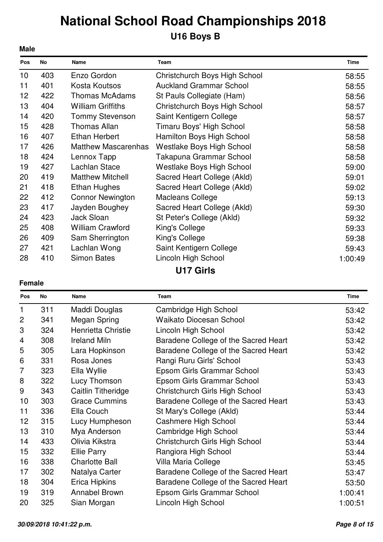## **National School Road Championships 2018 U16 Boys B**

| <b>Male</b> |     |                            |                                  |             |
|-------------|-----|----------------------------|----------------------------------|-------------|
| Pos         | No  | Name                       | Team                             | <b>Time</b> |
| 10          | 403 | Enzo Gordon                | Christchurch Boys High School    | 58:55       |
| 11          | 401 | Kosta Koutsos              | <b>Auckland Grammar School</b>   | 58:55       |
| 12          | 422 | <b>Thomas McAdams</b>      | St Pauls Collegiate (Ham)        | 58:56       |
| 13          | 404 | <b>William Griffiths</b>   | Christchurch Boys High School    | 58:57       |
| 14          | 420 | <b>Tommy Stevenson</b>     | Saint Kentigern College          | 58:57       |
| 15          | 428 | <b>Thomas Allan</b>        | Timaru Boys' High School         | 58:58       |
| 16          | 407 | <b>Ethan Herbert</b>       | Hamilton Boys High School        | 58:58       |
| 17          | 426 | <b>Matthew Mascarenhas</b> | Westlake Boys High School        | 58:58       |
| 18          | 424 | Lennox Tapp                | Takapuna Grammar School          | 58:58       |
| 19          | 427 | Lachlan Stace              | <b>Westlake Boys High School</b> | 59:00       |
| 20          | 419 | <b>Matthew Mitchell</b>    | Sacred Heart College (Akld)      | 59:01       |
| 21          | 418 | Ethan Hughes               | Sacred Heart College (Akld)      | 59:02       |
| 22          | 412 | <b>Connor Newington</b>    | <b>Macleans College</b>          | 59:13       |
| 23          | 417 | Jayden Boughey             | Sacred Heart College (Akld)      | 59:30       |
| 24          | 423 | Jack Sloan                 | St Peter's College (Akld)        | 59:32       |
| 25          | 408 | <b>William Crawford</b>    | King's College                   | 59:33       |
| 26          | 409 | Sam Sherrington            | King's College                   | 59:38       |
| 27          | 421 | Lachlan Wong               | Saint Kentigern College          | 59:43       |
| 28          | 410 | <b>Simon Bates</b>         | Lincoln High School              | 1:00:49     |
|             |     |                            | <b>U17 Girls</b>                 |             |

#### **Female**

| Pos             | No  | Name                      | Team                                 | <b>Time</b> |
|-----------------|-----|---------------------------|--------------------------------------|-------------|
| 1               | 311 | Maddi Douglas             | Cambridge High School                | 53:42       |
| $\overline{2}$  | 341 | Megan Spring              | <b>Waikato Diocesan School</b>       | 53:42       |
| 3               | 324 | <b>Henrietta Christie</b> | Lincoln High School                  | 53:42       |
| 4               | 308 | <b>Ireland Miln</b>       | Baradene College of the Sacred Heart | 53:42       |
| 5               | 305 | Lara Hopkinson            | Baradene College of the Sacred Heart | 53:42       |
| 6               | 331 | Rosa Jones                | Rangi Ruru Girls' School             | 53:43       |
| 7               | 323 | Ella Wyllie               | Epsom Girls Grammar School           | 53:43       |
| 8               | 322 | Lucy Thomson              | Epsom Girls Grammar School           | 53:43       |
| 9               | 343 | Caitlin Titheridge        | Christchurch Girls High School       | 53:43       |
| 10              | 303 | <b>Grace Cummins</b>      | Baradene College of the Sacred Heart | 53:43       |
| 11              | 336 | Ella Couch                | St Mary's College (Akld)             | 53:44       |
| 12 <sub>2</sub> | 315 | Lucy Humpheson            | Cashmere High School                 | 53:44       |
| 13              | 310 | Mya Anderson              | Cambridge High School                | 53:44       |
| 14              | 433 | Olivia Kikstra            | Christchurch Girls High School       | 53:44       |
| 15              | 332 | <b>Ellie Parry</b>        | Rangiora High School                 | 53:44       |
| 16              | 338 | <b>Charlotte Ball</b>     | Villa Maria College                  | 53:45       |
| 17              | 302 | Natalya Carter            | Baradene College of the Sacred Heart | 53:47       |
| 18              | 304 | <b>Erica Hipkins</b>      | Baradene College of the Sacred Heart | 53:50       |
| 19              | 319 | Annabel Brown             | Epsom Girls Grammar School           | 1:00:41     |
| 20              | 325 | Sian Morgan               | Lincoln High School                  | 1:00:51     |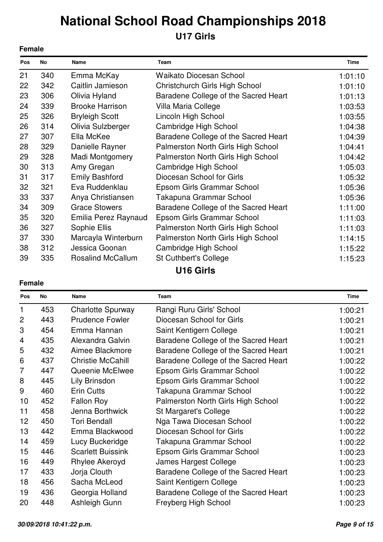## **U17 Girls**

|     | <b>Female</b> |                          |                                      |             |
|-----|---------------|--------------------------|--------------------------------------|-------------|
| Pos | No            | <b>Name</b>              | Team                                 | <b>Time</b> |
| 21  | 340           | Emma McKay               | Waikato Diocesan School              | 1:01:10     |
| 22  | 342           | Caitlin Jamieson         | Christchurch Girls High School       | 1:01:10     |
| 23  | 306           | Olivia Hyland            | Baradene College of the Sacred Heart | 1:01:13     |
| 24  | 339           | <b>Brooke Harrison</b>   | Villa Maria College                  | 1:03:53     |
| 25  | 326           | <b>Bryleigh Scott</b>    | Lincoln High School                  | 1:03:55     |
| 26  | 314           | Olivia Sulzberger        | Cambridge High School                | 1:04:38     |
| 27  | 307           | Ella McKee               | Baradene College of the Sacred Heart | 1:04:39     |
| 28  | 329           | Danielle Rayner          | Palmerston North Girls High School   | 1:04:41     |
| 29  | 328           | Madi Montgomery          | Palmerston North Girls High School   | 1:04:42     |
| 30  | 313           | Amy Gregan               | Cambridge High School                | 1:05:03     |
| 31  | 317           | <b>Emily Bashford</b>    | Diocesan School for Girls            | 1:05:32     |
| 32  | 321           | Eva Ruddenklau           | Epsom Girls Grammar School           | 1:05:36     |
| 33  | 337           | Anya Christiansen        | Takapuna Grammar School              | 1:05:36     |
| 34  | 309           | <b>Grace Stowers</b>     | Baradene College of the Sacred Heart | 1:11:00     |
| 35  | 320           | Emilia Perez Raynaud     | Epsom Girls Grammar School           | 1:11:03     |
| 36  | 327           | Sophie Ellis             | Palmerston North Girls High School   | 1:11:03     |
| 37  | 330           | Marcayla Winterburn      | Palmerston North Girls High School   | 1:14:15     |
| 38  | 312           | Jessica Goonan           | Cambridge High School                | 1:15:22     |
| 39  | 335           | <b>Rosalind McCallum</b> | <b>St Cuthbert's College</b>         | 1:15:23     |
|     |               |                          | <b>U16 Girls</b>                     |             |

#### **Female**

| Pos            | No  | <b>Name</b>              | <b>Team</b>                          | <b>Time</b> |
|----------------|-----|--------------------------|--------------------------------------|-------------|
| 1              | 453 | <b>Charlotte Spurway</b> | Rangi Ruru Girls' School             | 1:00:21     |
| 2              | 443 | <b>Prudence Fowler</b>   | Diocesan School for Girls            | 1:00:21     |
| 3              | 454 | Emma Hannan              | Saint Kentigern College              | 1:00:21     |
| 4              | 435 | Alexandra Galvin         | Baradene College of the Sacred Heart | 1:00:21     |
| 5              | 432 | Aimee Blackmore          | Baradene College of the Sacred Heart | 1:00:21     |
| 6              | 437 | <b>Christie McCahill</b> | Baradene College of the Sacred Heart | 1:00:22     |
| $\overline{7}$ | 447 | Queenie McElwee          | Epsom Girls Grammar School           | 1:00:22     |
| 8              | 445 | Lily Brinsdon            | Epsom Girls Grammar School           | 1:00:22     |
| 9              | 460 | <b>Erin Cutts</b>        | Takapuna Grammar School              | 1:00:22     |
| 10             | 452 | <b>Fallon Roy</b>        | Palmerston North Girls High School   | 1:00:22     |
| 11             | 458 | Jenna Borthwick          | St Margaret's College                | 1:00:22     |
| 12             | 450 | <b>Tori Bendall</b>      | Nga Tawa Diocesan School             | 1:00:22     |
| 13             | 442 | Emma Blackwood           | Diocesan School for Girls            | 1:00:22     |
| 14             | 459 | Lucy Buckeridge          | Takapuna Grammar School              | 1:00:22     |
| 15             | 446 | <b>Scarlett Buissink</b> | Epsom Girls Grammar School           | 1:00:23     |
| 16             | 449 | Rhylee Akeroyd           | James Hargest College                | 1:00:23     |
| 17             | 433 | Jorja Clouth             | Baradene College of the Sacred Heart | 1:00:23     |
| 18             | 456 | Sacha McLeod             | Saint Kentigern College              | 1:00:23     |
| 19             | 436 | Georgia Holland          | Baradene College of the Sacred Heart | 1:00:23     |
| 20             | 448 | Ashleigh Gunn            | Freyberg High School                 | 1:00:23     |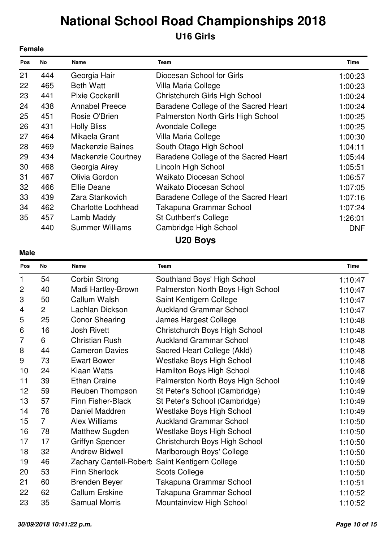## **National School Road Championships 2018 U16 Girls**

| <b>Female</b> |     |                           |                                      |             |
|---------------|-----|---------------------------|--------------------------------------|-------------|
| Pos           | No  | <b>Name</b>               | <b>Team</b>                          | <b>Time</b> |
| 21            | 444 | Georgia Hair              | Diocesan School for Girls            | 1:00:23     |
| 22            | 465 | <b>Beth Watt</b>          | Villa Maria College                  | 1:00:23     |
| 23            | 441 | <b>Pixie Cockerill</b>    | Christchurch Girls High School       | 1:00:24     |
| 24            | 438 | <b>Annabel Preece</b>     | Baradene College of the Sacred Heart | 1:00:24     |
| 25            | 451 | Rosie O'Brien             | Palmerston North Girls High School   | 1:00:25     |
| 26            | 431 | <b>Holly Bliss</b>        | Avondale College                     | 1:00:25     |
| 27            | 464 | Mikaela Grant             | Villa Maria College                  | 1:00:30     |
| 28            | 469 | <b>Mackenzie Baines</b>   | South Otago High School              | 1:04:11     |
| 29            | 434 | <b>Mackenzie Courtney</b> | Baradene College of the Sacred Heart | 1:05:44     |
| 30            | 468 | Georgia Airey             | Lincoln High School                  | 1:05:51     |
| 31            | 467 | Olivia Gordon             | <b>Waikato Diocesan School</b>       | 1:06:57     |
| 32            | 466 | Ellie Deane               | <b>Waikato Diocesan School</b>       | 1:07:05     |
| 33            | 439 | Zara Stankovich           | Baradene College of the Sacred Heart | 1:07:16     |
| 34            | 462 | <b>Charlotte Lochhead</b> | Takapuna Grammar School              | 1:07:24     |
| 35            | 457 | Lamb Maddy                | <b>St Cuthbert's College</b>         | 1:26:01     |
|               | 440 | <b>Summer Williams</b>    | Cambridge High School                | <b>DNF</b>  |
|               |     |                           | $\blacksquare$                       |             |

**U20 Boys**

| . .<br>×<br>۰. |
|----------------|
|----------------|

| Pos            | No             | Name                     | Team                                            | <b>Time</b> |  |
|----------------|----------------|--------------------------|-------------------------------------------------|-------------|--|
| 1              | 54             | Corbin Strong            | Southland Boys' High School                     | 1:10:47     |  |
| $\mathbf{2}$   | 40             | Madi Hartley-Brown       | Palmerston North Boys High School               | 1:10:47     |  |
| 3              | 50             | Callum Walsh             | Saint Kentigern College                         | 1:10:47     |  |
| 4              | $\overline{2}$ | Lachlan Dickson          | <b>Auckland Grammar School</b>                  | 1:10:47     |  |
| 5              | 25             | <b>Conor Shearing</b>    | James Hargest College                           | 1:10:48     |  |
| 6              | 16             | <b>Josh Rivett</b>       | Christchurch Boys High School                   | 1:10:48     |  |
| $\overline{7}$ | 6              | <b>Christian Rush</b>    | <b>Auckland Grammar School</b>                  | 1:10:48     |  |
| 8              | 44             | <b>Cameron Davies</b>    | Sacred Heart College (Akld)                     | 1:10:48     |  |
| 9              | 73             | <b>Ewart Bower</b>       | <b>Westlake Boys High School</b>                | 1:10:48     |  |
| 10             | 24             | Kiaan Watts              | Hamilton Boys High School                       | 1:10:48     |  |
| 11             | 39             | <b>Ethan Craine</b>      | Palmerston North Boys High School               | 1:10:49     |  |
| 12             | 59             | Reuben Thompson          | St Peter's School (Cambridge)                   | 1:10:49     |  |
| 13             | 57             | <b>Finn Fisher-Black</b> | St Peter's School (Cambridge)                   | 1:10:49     |  |
| 14             | 76             | Daniel Maddren           | <b>Westlake Boys High School</b>                | 1:10:49     |  |
| 15             | $\overline{7}$ | <b>Alex Williams</b>     | <b>Auckland Grammar School</b>                  | 1:10:50     |  |
| 16             | 78             | Matthew Sugden           | <b>Westlake Boys High School</b>                | 1:10:50     |  |
| 17             | 17             | <b>Griffyn Spencer</b>   | Christchurch Boys High School                   | 1:10:50     |  |
| 18             | 32             | <b>Andrew Bidwell</b>    | Marlborough Boys' College                       | 1:10:50     |  |
| 19             | 46             |                          | Zachary Cantell-Robert: Saint Kentigern College | 1:10:50     |  |
| 20             | 53             | <b>Finn Sherlock</b>     | <b>Scots College</b>                            | 1:10:50     |  |
| 21             | 60             | <b>Brenden Beyer</b>     | Takapuna Grammar School                         | 1:10:51     |  |
| 22             | 62             | <b>Callum Erskine</b>    | Takapuna Grammar School                         | 1:10:52     |  |
| 23             | 35             | <b>Samual Morris</b>     | Mountainview High School                        | 1:10:52     |  |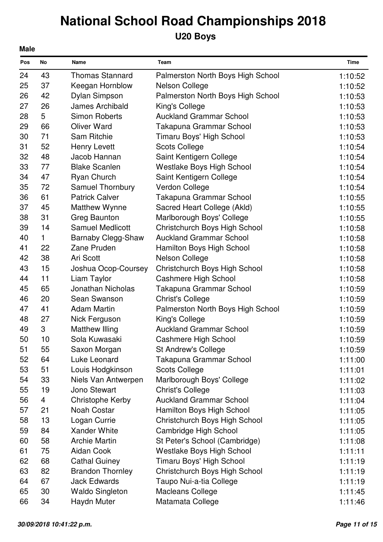## **U20 Boys**

| <b>Male</b> |    |                           |                                   |             |  |  |
|-------------|----|---------------------------|-----------------------------------|-------------|--|--|
| Pos         | No | Name                      | Team                              | <b>Time</b> |  |  |
| 24          | 43 | <b>Thomas Stannard</b>    | Palmerston North Boys High School | 1:10:52     |  |  |
| 25          | 37 | Keegan Hornblow           | <b>Nelson College</b>             | 1:10:52     |  |  |
| 26          | 42 | Dylan Simpson             | Palmerston North Boys High School | 1:10:53     |  |  |
| 27          | 26 | <b>James Archibald</b>    | King's College                    | 1:10:53     |  |  |
| 28          | 5  | <b>Simon Roberts</b>      | <b>Auckland Grammar School</b>    | 1:10:53     |  |  |
| 29          | 66 | <b>Oliver Ward</b>        | Takapuna Grammar School           | 1:10:53     |  |  |
| 30          | 71 | <b>Sam Ritchie</b>        | Timaru Boys' High School          | 1:10:53     |  |  |
| 31          | 52 | <b>Henry Levett</b>       | <b>Scots College</b>              | 1:10:54     |  |  |
| 32          | 48 | Jacob Hannan              | Saint Kentigern College           | 1:10:54     |  |  |
| 33          | 77 | <b>Blake Scanlen</b>      | Westlake Boys High School         | 1:10:54     |  |  |
| 34          | 47 | <b>Ryan Church</b>        | Saint Kentigern College           | 1:10:54     |  |  |
| 35          | 72 | <b>Samuel Thornbury</b>   | Verdon College                    | 1:10:54     |  |  |
| 36          | 61 | <b>Patrick Calver</b>     | Takapuna Grammar School           | 1:10:55     |  |  |
| 37          | 45 | Matthew Wynne             | Sacred Heart College (Akld)       | 1:10:55     |  |  |
| 38          | 31 | <b>Greg Baunton</b>       | Marlborough Boys' College         | 1:10:55     |  |  |
| 39          | 14 | <b>Samuel Medlicott</b>   | Christchurch Boys High School     | 1:10:58     |  |  |
| 40          | 1  | <b>Barnaby Clegg-Shaw</b> | <b>Auckland Grammar School</b>    | 1:10:58     |  |  |
| 41          | 22 | Zane Pruden               | Hamilton Boys High School         | 1:10:58     |  |  |
| 42          | 38 | Ari Scott                 | <b>Nelson College</b>             | 1:10:58     |  |  |
| 43          | 15 | Joshua Ocop-Coursey       | Christchurch Boys High School     | 1:10:58     |  |  |
| 44          | 11 | Liam Taylor               | Cashmere High School              | 1:10:58     |  |  |
| 45          | 65 | <b>Jonathan Nicholas</b>  | Takapuna Grammar School           | 1:10:59     |  |  |
| 46          | 20 | Sean Swanson              | <b>Christ's College</b>           | 1:10:59     |  |  |
| 47          | 41 | <b>Adam Martin</b>        | Palmerston North Boys High School | 1:10:59     |  |  |
| 48          | 27 | Nick Ferguson             | King's College                    | 1:10:59     |  |  |
| 49          | 3  | <b>Matthew Illing</b>     | <b>Auckland Grammar School</b>    | 1:10:59     |  |  |
| 50          | 10 | Sola Kuwasaki             | Cashmere High School              | 1:10:59     |  |  |
| 51          | 55 | Saxon Morgan              | St Andrew's College               | 1:10:59     |  |  |
| 52          | 64 | Luke Leonard              | Takapuna Grammar School           | 1:11:00     |  |  |
| 53          | 51 | Louis Hodgkinson          | <b>Scots College</b>              | 1:11:01     |  |  |
| 54          | 33 | Niels Van Antwerpen       | Marlborough Boys' College         | 1:11:02     |  |  |
| 55          | 19 | Jono Stewart              | <b>Christ's College</b>           | 1:11:03     |  |  |
| 56          | 4  | Christophe Kerby          | <b>Auckland Grammar School</b>    | 1:11:04     |  |  |
| 57          | 21 | <b>Noah Costar</b>        | Hamilton Boys High School         | 1:11:05     |  |  |
| 58          | 13 | Logan Currie              | Christchurch Boys High School     | 1:11:05     |  |  |
| 59          | 84 | Xander White              | Cambridge High School             | 1:11:05     |  |  |
| 60          | 58 | <b>Archie Martin</b>      | St Peter's School (Cambridge)     | 1:11:08     |  |  |
| 61          | 75 | Aidan Cook                | <b>Westlake Boys High School</b>  | 1:11:11     |  |  |
| 62          | 68 | <b>Cathal Guiney</b>      | Timaru Boys' High School          | 1:11:19     |  |  |
| 63          | 82 | <b>Brandon Thornley</b>   | Christchurch Boys High School     | 1:11:19     |  |  |
| 64          | 67 | <b>Jack Edwards</b>       | Taupo Nui-a-tia College           | 1:11:19     |  |  |
| 65          | 30 | <b>Waldo Singleton</b>    | <b>Macleans College</b>           | 1:11:45     |  |  |
| 66          | 34 | Haydn Muter               | Matamata College                  | 1:11:46     |  |  |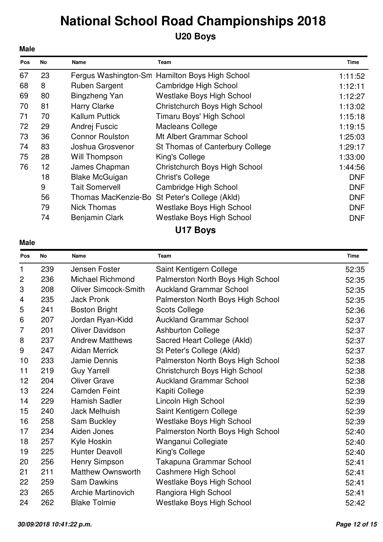### **U20 Boys**

| <b>Male</b> |    |                        |                                                |             |
|-------------|----|------------------------|------------------------------------------------|-------------|
| Pos         | No | Name                   | <b>Team</b>                                    | <b>Time</b> |
| 67          | 23 |                        | Fergus Washington-Sm Hamilton Boys High School | 1:11:52     |
| 68          | 8  | <b>Ruben Sargent</b>   | Cambridge High School                          | 1:12:11     |
| 69          | 80 | Bingzheng Yan          | <b>Westlake Boys High School</b>               | 1:12:27     |
| 70          | 81 | <b>Harry Clarke</b>    | Christchurch Boys High School                  | 1:13:02     |
| 71          | 70 | <b>Kallum Puttick</b>  | Timaru Boys' High School                       | 1:15:18     |
| 72          | 29 | Andrej Fuscic          | Macleans College                               | 1:19:15     |
| 73          | 36 | <b>Connor Roulston</b> | Mt Albert Grammar School                       | 1:25:03     |
| 74          | 83 | Joshua Grosvenor       | St Thomas of Canterbury College                | 1:29:17     |
| 75          | 28 | Will Thompson          | King's College                                 | 1:33:00     |
| 76          | 12 | James Chapman          | Christchurch Boys High School                  | 1:44:56     |
|             | 18 | <b>Blake McGuigan</b>  | <b>Christ's College</b>                        | <b>DNF</b>  |
|             | 9  | <b>Tait Somervell</b>  | Cambridge High School                          | <b>DNF</b>  |
|             | 56 |                        | Thomas MacKenzie-Bo St Peter's College (Akld)  | <b>DNF</b>  |
|             | 79 | <b>Nick Thomas</b>     | <b>Westlake Boys High School</b>               | <b>DNF</b>  |
|             | 74 | Benjamin Clark         | <b>Westlake Boys High School</b>               | <b>DNF</b>  |
|             |    |                        | .                                              |             |

**U17 Boys**

| Pos                       | No  | <b>Name</b>                 | Team                              | <b>Time</b> |
|---------------------------|-----|-----------------------------|-----------------------------------|-------------|
| 1                         | 239 | Jensen Foster               | Saint Kentigern College           | 52:35       |
| $\overline{2}$            | 236 | <b>Michael Richmond</b>     | Palmerston North Boys High School | 52:35       |
| $\ensuremath{\mathsf{3}}$ | 208 | <b>Oliver Simcock-Smith</b> | <b>Auckland Grammar School</b>    | 52:35       |
| 4                         | 235 | <b>Jack Pronk</b>           | Palmerston North Boys High School | 52:35       |
| 5                         | 241 | <b>Boston Bright</b>        | <b>Scots College</b>              | 52:36       |
| 6                         | 207 | Jordan Ryan-Kidd            | <b>Auckland Grammar School</b>    | 52:37       |
| 7                         | 201 | <b>Oliver Davidson</b>      | <b>Ashburton College</b>          | 52:37       |
| 8                         | 237 | <b>Andrew Matthews</b>      | Sacred Heart College (Akld)       | 52:37       |
| 9                         | 247 | <b>Aidan Merrick</b>        | St Peter's College (Akld)         | 52:37       |
| 10                        | 233 | Jamie Dennis                | Palmerston North Boys High School | 52:38       |
| 11                        | 219 | <b>Guy Yarrell</b>          | Christchurch Boys High School     | 52:38       |
| 12                        | 204 | <b>Oliver Grave</b>         | <b>Auckland Grammar School</b>    | 52:38       |
| 13                        | 224 | <b>Camden Feint</b>         | Kapiti College                    | 52:39       |
| 14                        | 229 | <b>Hamish Sadler</b>        | Lincoln High School               | 52:39       |
| 15                        | 240 | <b>Jack Melhuish</b>        | Saint Kentigern College           | 52:39       |
| 16                        | 258 | <b>Sam Buckley</b>          | <b>Westlake Boys High School</b>  | 52:39       |
| 17                        | 234 | Aiden Jones                 | Palmerston North Boys High School | 52:40       |
| 18                        | 257 | Kyle Hoskin                 | Wanganui Collegiate               | 52:40       |
| 19                        | 225 | <b>Hunter Deavoll</b>       | King's College                    | 52:40       |
| 20                        | 256 | Henry Simpson               | Takapuna Grammar School           | 52:41       |
| 21                        | 211 | <b>Matthew Ownsworth</b>    | Cashmere High School              | 52:41       |
| 22                        | 259 | <b>Sam Dawkins</b>          | Westlake Boys High School         | 52:41       |
| 23                        | 265 | <b>Archie Martinovich</b>   | Rangiora High School              | 52:41       |
| 24                        | 262 | <b>Blake Tolmie</b>         | <b>Westlake Boys High School</b>  | 52:42       |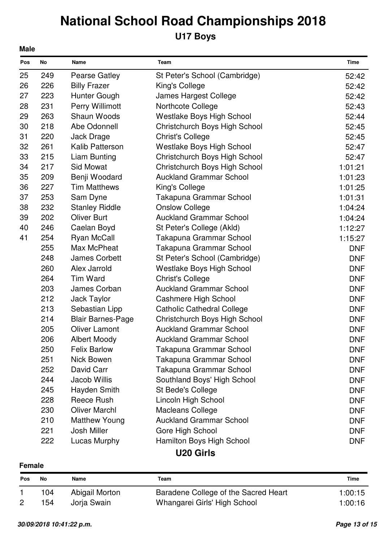## **U17 Boys**

| Pos | No  | Name                     | Team                              | Time       |
|-----|-----|--------------------------|-----------------------------------|------------|
| 25  | 249 | <b>Pearse Gatley</b>     | St Peter's School (Cambridge)     | 52:42      |
| 26  | 226 | <b>Billy Frazer</b>      | King's College                    | 52:42      |
| 27  | 223 | Hunter Gough             | James Hargest College             | 52:42      |
| 28  | 231 | Perry Willimott          | Northcote College                 | 52:43      |
| 29  | 263 | <b>Shaun Woods</b>       | <b>Westlake Boys High School</b>  | 52:44      |
| 30  | 218 | Abe Odonnell             | Christchurch Boys High School     | 52:45      |
| 31  | 220 | Jack Drage               | <b>Christ's College</b>           | 52:45      |
| 32  | 261 | <b>Kalib Patterson</b>   | Westlake Boys High School         | 52:47      |
| 33  | 215 | Liam Bunting             | Christchurch Boys High School     | 52:47      |
| 34  | 217 | <b>Sid Mowat</b>         | Christchurch Boys High School     | 1:01:21    |
| 35  | 209 | Benji Woodard            | <b>Auckland Grammar School</b>    | 1:01:23    |
| 36  | 227 | <b>Tim Matthews</b>      | King's College                    | 1:01:25    |
| 37  | 253 | Sam Dyne                 | Takapuna Grammar School           | 1:01:31    |
| 38  | 232 | <b>Stanley Riddle</b>    | <b>Onslow College</b>             | 1:04:24    |
| 39  | 202 | <b>Oliver Burt</b>       | <b>Auckland Grammar School</b>    | 1:04:24    |
| 40  | 246 | Caelan Boyd              | St Peter's College (Akld)         | 1:12:27    |
| 41  | 254 | <b>Ryan McCall</b>       | Takapuna Grammar School           | 1:15:27    |
|     | 255 | Max McPheat              | Takapuna Grammar School           | <b>DNF</b> |
|     | 248 | <b>James Corbett</b>     | St Peter's School (Cambridge)     | <b>DNF</b> |
|     | 260 | Alex Jarrold             | <b>Westlake Boys High School</b>  | <b>DNF</b> |
|     | 264 | <b>Tim Ward</b>          | <b>Christ's College</b>           | <b>DNF</b> |
|     | 203 | James Corban             | <b>Auckland Grammar School</b>    | <b>DNF</b> |
|     | 212 | Jack Taylor              | <b>Cashmere High School</b>       | <b>DNF</b> |
|     | 213 | Sebastian Lipp           | <b>Catholic Cathedral College</b> | <b>DNF</b> |
|     | 214 | <b>Blair Barnes-Page</b> | Christchurch Boys High School     | <b>DNF</b> |
|     | 205 | <b>Oliver Lamont</b>     | <b>Auckland Grammar School</b>    | <b>DNF</b> |
|     | 206 | <b>Albert Moody</b>      | <b>Auckland Grammar School</b>    | <b>DNF</b> |
|     | 250 | <b>Felix Barlow</b>      | Takapuna Grammar School           | DNF.       |
|     | 251 | Nick Bowen               | Takapuna Grammar School           | <b>DNF</b> |
|     | 252 | David Carr               | Takapuna Grammar School           | <b>DNF</b> |
|     | 244 | <b>Jacob Willis</b>      | Southland Boys' High School       | <b>DNF</b> |
|     | 245 | Hayden Smith             | St Bede's College                 | <b>DNF</b> |
|     | 228 | Reece Rush               | Lincoln High School               | <b>DNF</b> |
|     | 230 | <b>Oliver Marchl</b>     | <b>Macleans College</b>           | <b>DNF</b> |
|     | 210 | <b>Matthew Young</b>     | <b>Auckland Grammar School</b>    | <b>DNF</b> |
|     | 221 | Josh Miller              | Gore High School                  | <b>DNF</b> |
|     | 222 | Lucas Murphy             | Hamilton Boys High School         | <b>DNF</b> |
|     |     |                          | .                                 |            |

### **U20 Girls**

#### **Female**

| Pos | Νo  | Name           | Team                                 | <b>Time</b> |
|-----|-----|----------------|--------------------------------------|-------------|
|     | 104 | Abigail Morton | Baradene College of the Sacred Heart | 1:00:15     |
|     | 154 | Jorja Swain    | Whangarei Girls' High School         | 1:00:16     |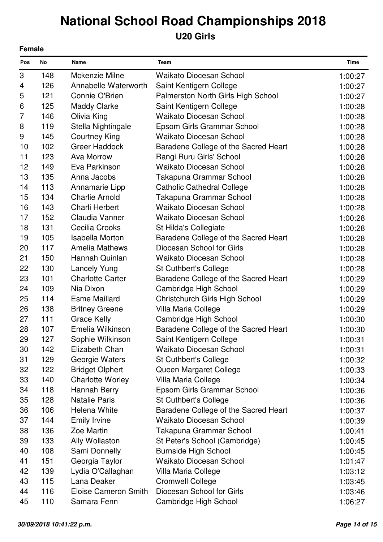### **U20 Girls**

|     | <b>Female</b> |                             |                                      |             |  |
|-----|---------------|-----------------------------|--------------------------------------|-------------|--|
| Pos | No            | Name                        | Team                                 | <b>Time</b> |  |
| 3   | 148           | Mckenzie Milne              | <b>Waikato Diocesan School</b>       | 1:00:27     |  |
| 4   | 126           | Annabelle Waterworth        | Saint Kentigern College              | 1:00:27     |  |
| 5   | 121           | Connie O'Brien              | Palmerston North Girls High School   | 1:00:27     |  |
| 6   | 125           | <b>Maddy Clarke</b>         | Saint Kentigern College              | 1:00:28     |  |
| 7   | 146           | Olivia King                 | <b>Waikato Diocesan School</b>       | 1:00:28     |  |
| 8   | 119           | Stella Nightingale          | Epsom Girls Grammar School           | 1:00:28     |  |
| 9   | 145           | <b>Courtney King</b>        | <b>Waikato Diocesan School</b>       | 1:00:28     |  |
| 10  | 102           | <b>Greer Haddock</b>        | Baradene College of the Sacred Heart | 1:00:28     |  |
| 11  | 123           | Ava Morrow                  | Rangi Ruru Girls' School             | 1:00:28     |  |
| 12  | 149           | Eva Parkinson               | <b>Waikato Diocesan School</b>       | 1:00:28     |  |
| 13  | 135           | Anna Jacobs                 | Takapuna Grammar School              | 1:00:28     |  |
| 14  | 113           | Annamarie Lipp              | <b>Catholic Cathedral College</b>    | 1:00:28     |  |
| 15  | 134           | <b>Charlie Arnold</b>       | Takapuna Grammar School              | 1:00:28     |  |
| 16  | 143           | <b>Charli Herbert</b>       | <b>Waikato Diocesan School</b>       | 1:00:28     |  |
| 17  | 152           | Claudia Vanner              | <b>Waikato Diocesan School</b>       | 1:00:28     |  |
| 18  | 131           | Cecilia Crooks              | St Hilda's Collegiate                | 1:00:28     |  |
| 19  | 105           | <b>Isabella Morton</b>      | Baradene College of the Sacred Heart | 1:00:28     |  |
| 20  | 117           | <b>Amelia Mathews</b>       | Diocesan School for Girls            | 1:00:28     |  |
| 21  | 150           | Hannah Quinlan              | <b>Waikato Diocesan School</b>       | 1:00:28     |  |
| 22  | 130           | <b>Lancely Yung</b>         | <b>St Cuthbert's College</b>         | 1:00:28     |  |
| 23  | 101           | <b>Charlotte Carter</b>     | Baradene College of the Sacred Heart | 1:00:29     |  |
| 24  | 109           | Nia Dixon                   | Cambridge High School                | 1:00:29     |  |
| 25  | 114           | <b>Esme Maillard</b>        | Christchurch Girls High School       | 1:00:29     |  |
| 26  | 138           | <b>Britney Greene</b>       | Villa Maria College                  | 1:00:29     |  |
| 27  | 111           | <b>Grace Kelly</b>          | Cambridge High School                | 1:00:30     |  |
| 28  | 107           | Emelia Wilkinson            | Baradene College of the Sacred Heart | 1:00:30     |  |
| 29  | 127           | Sophie Wilkinson            | Saint Kentigern College              | 1:00:31     |  |
| 30  | 142           | Elizabeth Chan              | <b>Waikato Diocesan School</b>       | 1:00:31     |  |
| 31  | 129           | Georgie Waters              | <b>St Cuthbert's College</b>         | 1:00:32     |  |
| 32  | 122           | <b>Bridget Olphert</b>      | Queen Margaret College               | 1:00:33     |  |
| 33  | 140           | <b>Charlotte Worley</b>     | Villa Maria College                  | 1:00:34     |  |
| 34  | 118           | Hannah Berry                | Epsom Girls Grammar School           | 1:00:36     |  |
| 35  | 128           | <b>Natalie Paris</b>        | <b>St Cuthbert's College</b>         | 1:00:36     |  |
| 36  | 106           | Helena White                | Baradene College of the Sacred Heart | 1:00:37     |  |
| 37  | 144           | <b>Emily Irvine</b>         | <b>Waikato Diocesan School</b>       | 1:00:39     |  |
| 38  | 136           | Zoe Martin                  | Takapuna Grammar School              | 1:00:41     |  |
| 39  | 133           | Ally Wollaston              | St Peter's School (Cambridge)        | 1:00:45     |  |
| 40  | 108           | Sami Donnelly               | <b>Burnside High School</b>          | 1:00:45     |  |
| 41  | 151           | Georgia Taylor              | Waikato Diocesan School              | 1:01:47     |  |
| 42  | 139           | Lydia O'Callaghan           | Villa Maria College                  | 1:03:12     |  |
| 43  | 115           | Lana Deaker                 | <b>Cromwell College</b>              | 1:03:45     |  |
| 44  | 116           | <b>Eloise Cameron Smith</b> | Diocesan School for Girls            | 1:03:46     |  |
| 45  | 110           | Samara Fenn                 | Cambridge High School                | 1:06:27     |  |